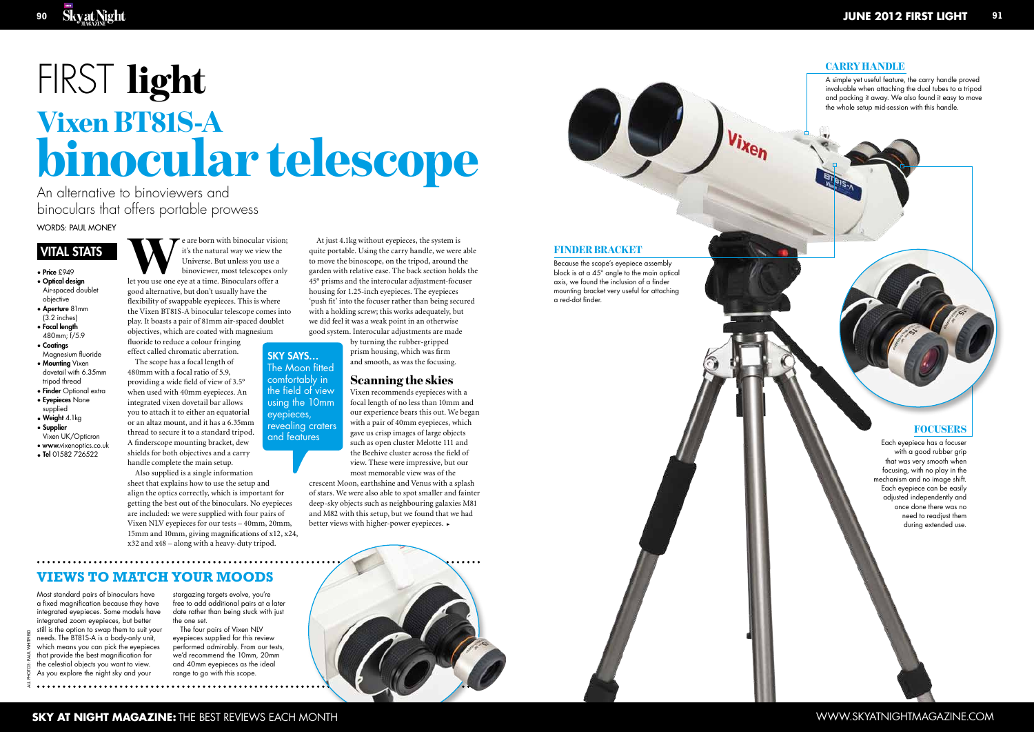An alternative to binoviewers and binoculars that offers portable prowess

> We are born with binocular vision;<br>
> it's the natural way we view the<br>
> Universe. But unless you use a<br>
> binoviewer, most telescopes only<br>
> let you use one eye at a time. Binoculars offer a it's the natural way we view the Universe. But unless you use a binoviewer, most telescopes only good alternative, but don't usually have the flexibility of swappable eyepieces. This is where the Vixen BT81S-A binocular telescope comes into play. It boasts a pair of 81mm air-spaced doublet objectives, which are coated with magnesium

fluoride to reduce a colour fringing effect called chromatic aberration. The scope has a focal length of 480mm with a focal ratio of 5.9, providing a wide field of view of 3.5° when used with 40mm eyepieces. An

integrated vixen dovetail bar allows you to attach it to either an equatorial or an altaz mount, and it has a 6.35mm thread to secure it to a standard tripod. A finderscope mounting bracket, dew shields for both objectives and a carry handle complete the main setup.

Also supplied is a single information sheet that explains how to use the setup and align the optics correctly, which is important for getting the best out of the binoculars. No eyepieces are included: we were supplied with four pairs of Vixen NLV eyepieces for our tests – 40mm, 20mm, 15mm and 10mm, giving magnifications of x12, x24, x32 and x48 – along with a heavy-duty tripod.

Sky says … The Moon fitted comfortably in the field of view using the 10mm eyepieces, revealing craters and features

all photos: paul whitfield

Words: Paul Money

# VITAL S

- Price £949 • Optical design
- Air-spaced doublet objective
- Aperture 81mm (3.2 inches) • Focal length
- 480mm; f/5.9 • Coatings
- Magnesium fluoride • Mounting Vixen dovetail with 6.35mm
- tripod thread • Finder Optional extra
- Eyepieces None supplied
- **Weight** 4.1kg • Supplier
- Vixen UK/Opticron
- www. vixenoptics.co.uk • Tel 01582 726522

Most standard pairs of binoculars have a fixed magnification because they have integrated eyepieces. Some models have integrated zoom eyepieces, but better still is the option to swap them to suit your needs. The BT81S-A is a body-only unit, which means you can pick the eyepieces that provide the best magnification for the celestial objects you want to view. As you explore the night sky and your

# FIRST light binocular telescope Vixen BT81S-A

stargazing targets evolve, you're free to add additional pairs at a later date rather than being stuck with just the one set.

The four pairs of Vixen NLV eyepieces supplied for this review performed admirably. From our tests, we'd recommend the 10mm, 20mm and 40mm eyepieces as the ideal range to go with this scope.



# FINDER BRACKET

A simple yet useful feature, the carry handle proved invaluable when attaching the dual tubes to a tripod and packing it away. We also found it easy to move the whole setup mid-session with this handle.

# **FOCUSERS**

At just 4.1kg without eyepieces, the system is quite portable. Using the carry handle, we were able to move the binoscope, on the tripod, around the garden with relative ease. The back section holds the 45° prisms and the interocular adjustment-focuser housing for 1.25-inch eyepieces. The eyepieces 'push fit' into the focuser rather than being secured with a holding screw; this works adequately, but we did feel it was a weak point in an otherwise good system. Interocular adjustments are made

> by turning the rubber-gripped prism housing, which was firm and smooth, as was the focusing.

# Scanning the skies

Vixen recommends eyepieces with a focal length of no less than 10mm and our experience bears this out. We began with a pair of 40mm eyepieces, which gave us crisp images of large objects such as open cluster Melotte 111 and the Beehive cluster across the field of view. These were impressive, but our most memorable view was of the

Because the scope's eyepiece assembly block is at a 45° angle to the main optical axis, we found the inclusion of a finder mounting bracket very useful for attaching a red-dot finder.

crescent Moon, earthshine and Venus with a splash of stars. We were also able to spot smaller and fainter deep-sky objects such as neighbouring galaxies M81 and M82 with this setup, but we found that we had better views with higher-power eyepieces. >

# **VIEWS TO MATCH YOUR MOODS**

Each eyepiece has a focuser with a good rubber grip that was very smooth when focusing, with no play in the mechanism and no image shift. Each eyepiece can be easily adjusted independently and once done there was no need to readjust them during extended use.

### **CARRY HANDLE**